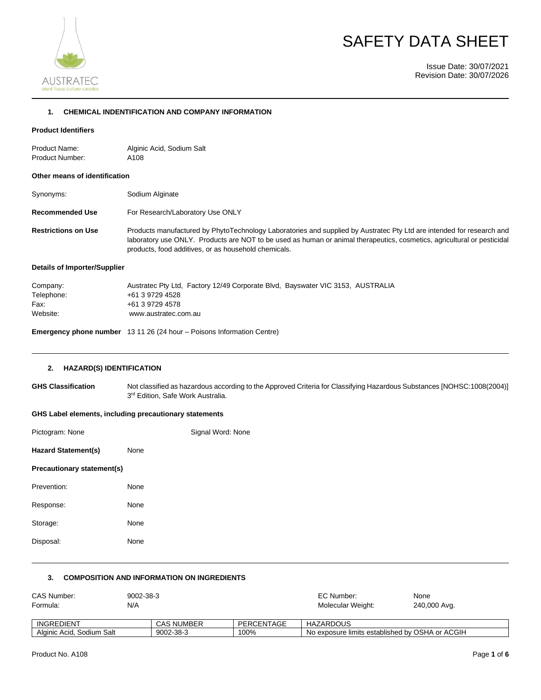

# SAFETY DATA SHEET

Issue Date: 30/07/2021 Revision Date: 30/07/2026

# **1. CHEMICAL INDENTIFICATION AND COMPANY INFORMATION**

## **Product Identifiers**

| Product Name:   | Alginic Acid, Sodium Salt |
|-----------------|---------------------------|
| Product Number: | A108                      |

#### **Other means of identification**

| Synonyms:                  | Sodium Alginate                                                                                                                                                                                                                                                                                          |
|----------------------------|----------------------------------------------------------------------------------------------------------------------------------------------------------------------------------------------------------------------------------------------------------------------------------------------------------|
| <b>Recommended Use</b>     | For Research/Laboratory Use ONLY                                                                                                                                                                                                                                                                         |
| <b>Restrictions on Use</b> | Products manufactured by PhytoTechnology Laboratories and supplied by Austratec Pty Ltd are intended for research and<br>laboratory use ONLY. Products are NOT to be used as human or animal therapeutics, cosmetics, agricultural or pesticidal<br>products, food additives, or as household chemicals. |

# **Details of Importer/Supplier**

| Company:   | Austratec Pty Ltd, Factory 12/49 Corporate Blvd, Bayswater VIC 3153, AUSTRALIA |
|------------|--------------------------------------------------------------------------------|
| Telephone: | +61 3 9729 4528                                                                |
| Fax:       | +61 3 9729 4578                                                                |
| Website:   | www.austratec.com.au                                                           |
|            |                                                                                |

**Emergency phone number** 13 11 26 (24 hour – Poisons Information Centre)

#### **2. HAZARD(S) IDENTIFICATION**

**GHS Classification** Not classified as hazardous according to the Approved Criteria for Classifying Hazardous Substances [NOHSC:1008(2004)] 3<sup>rd</sup> Edition, Safe Work Australia.

## **GHS Label elements, including precautionary statements**

| Pictogram: None            |      | Signal Word: None |
|----------------------------|------|-------------------|
| <b>Hazard Statement(s)</b> | None |                   |
| Precautionary statement(s) |      |                   |
| Prevention:                | None |                   |
| Response:                  | None |                   |
| Storage:                   | None |                   |
| Disposal:                  | None |                   |
|                            |      |                   |

# **3. COMPOSITION AND INFORMATION ON INGREDIENTS**

| CAS Number:               | 9002-38-3 |                   |            | EC Number:                                      | None         |
|---------------------------|-----------|-------------------|------------|-------------------------------------------------|--------------|
| Formula:                  | N/A       |                   |            | Molecular Weight:                               | 240,000 Avg. |
|                           |           |                   |            |                                                 |              |
| INGREDIENT                |           | <b>CAS NUMBER</b> | PERCENTAGE | HAZARDOUS                                       |              |
| Alginic Acid, Sodium Salt |           | 9002-38-3         | 100%       | No exposure limits established by OSHA or ACGIH |              |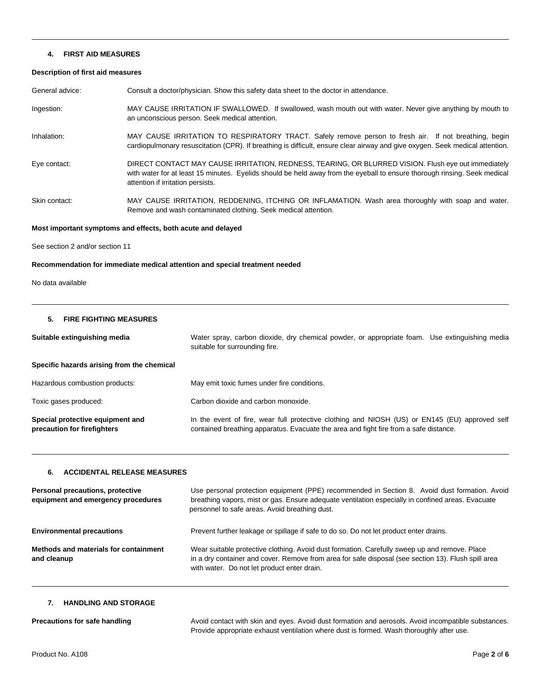#### **4. FIRST AID MEASURES**

### **Description of first aid measures**

General advice: Consult a doctor/physician. Show this safety data sheet to the doctor in attendance.

Ingestion: MAY CAUSE IRRITATION IF SWALLOWED. If swallowed, wash mouth out with water. Never give anything by mouth to an unconscious person. Seek medical attention.

Inhalation: MAY CAUSE IRRITATION TO RESPIRATORY TRACT. Safely remove person to fresh air. If not breathing, begin cardiopulmonary resuscitation (CPR). If breathing is difficult, ensure clear airway and give oxygen. Seek medical attention.

Eye contact: DIRECT CONTACT MAY CAUSE IRRITATION, REDNESS, TEARING, OR BLURRED VISION. Flush eye out immediately with water for at least 15 minutes. Eyelids should be held away from the eyeball to ensure thorough rinsing. Seek medical attention if irritation persists.

Skin contact: MAY CAUSE IRRITATION, REDDENING, ITCHING OR INFLAMATION. Wash area thoroughly with soap and water. Remove and wash contaminated clothing. Seek medical attention.

#### **Most important symptoms and effects, both acute and delayed**

See section 2 and/or section 11

#### **Recommendation for immediate medical attention and special treatment needed**

No data available

# **5. FIRE FIGHTING MEASURES**

| Suitable extinguishing media                                    | Water spray, carbon dioxide, dry chemical powder, or appropriate foam. Use extinguishing media<br>suitable for surrounding fire.                                                        |
|-----------------------------------------------------------------|-----------------------------------------------------------------------------------------------------------------------------------------------------------------------------------------|
| Specific hazards arising from the chemical                      |                                                                                                                                                                                         |
| Hazardous combustion products:                                  | May emit toxic fumes under fire conditions.                                                                                                                                             |
| Toxic gases produced:                                           | Carbon dioxide and carbon monoxide.                                                                                                                                                     |
| Special protective equipment and<br>precaution for firefighters | In the event of fire, wear full protective clothing and NIOSH (US) or EN145 (EU) approved self<br>contained breathing apparatus. Evacuate the area and fight fire from a safe distance. |

#### **6. ACCIDENTAL RELEASE MEASURES**

| Personal precautions, protective<br>equipment and emergency procedures | Use personal protection equipment (PPE) recommended in Section 8. Avoid dust formation. Avoid<br>breathing vapors, mist or gas. Ensure adequate ventilation especially in confined areas. Evacuate<br>personnel to safe areas. Avoid breathing dust. |
|------------------------------------------------------------------------|------------------------------------------------------------------------------------------------------------------------------------------------------------------------------------------------------------------------------------------------------|
| <b>Environmental precautions</b>                                       | Prevent further leakage or spillage if safe to do so. Do not let product enter drains.                                                                                                                                                               |
| Methods and materials for containment<br>and cleanup                   | Wear suitable protective clothing. Avoid dust formation. Carefully sweep up and remove. Place<br>in a dry container and cover. Remove from area for safe disposal (see section 13). Flush spill area<br>with water. Do not let product enter drain.  |

# **7. HANDLING AND STORAGE**

| Precautions for safe handling | Avoid contact with skin and eyes. Avoid dust formation and aerosols. Avoid incompatible substances. |
|-------------------------------|-----------------------------------------------------------------------------------------------------|
|                               | Provide appropriate exhaust ventilation where dust is formed. Wash thoroughly after use.            |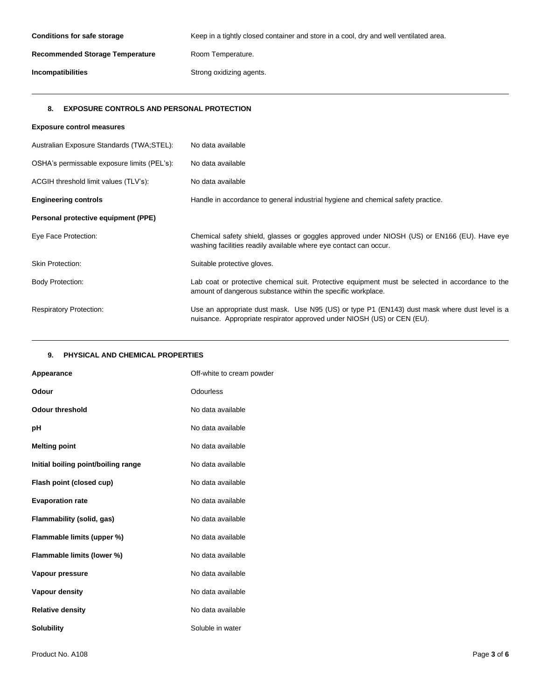| <b>Conditions for safe storage</b>     | Keep in a tightly closed container and store in a cool, dry and well ventilated area. |
|----------------------------------------|---------------------------------------------------------------------------------------|
| <b>Recommended Storage Temperature</b> | Room Temperature.                                                                     |
| <b>Incompatibilities</b>               | Strong oxidizing agents.                                                              |

# **8. EXPOSURE CONTROLS AND PERSONAL PROTECTION**

| <b>Exposure control measures</b>            |                                                                                                                                                                          |
|---------------------------------------------|--------------------------------------------------------------------------------------------------------------------------------------------------------------------------|
| Australian Exposure Standards (TWA;STEL):   | No data available                                                                                                                                                        |
| OSHA's permissable exposure limits (PEL's): | No data available                                                                                                                                                        |
| ACGIH threshold limit values (TLV's):       | No data available                                                                                                                                                        |
| <b>Engineering controls</b>                 | Handle in accordance to general industrial hygiene and chemical safety practice.                                                                                         |
| Personal protective equipment (PPE)         |                                                                                                                                                                          |
| Eye Face Protection:                        | Chemical safety shield, glasses or goggles approved under NIOSH (US) or EN166 (EU). Have eye<br>washing facilities readily available where eye contact can occur.        |
| <b>Skin Protection:</b>                     | Suitable protective gloves.                                                                                                                                              |
| <b>Body Protection:</b>                     | Lab coat or protective chemical suit. Protective equipment must be selected in accordance to the<br>amount of dangerous substance within the specific workplace.         |
| <b>Respiratory Protection:</b>              | Use an appropriate dust mask. Use N95 (US) or type P1 (EN143) dust mask where dust level is a<br>nuisance. Appropriate respirator approved under NIOSH (US) or CEN (EU). |

# **9. PHYSICAL AND CHEMICAL PROPERTIES**

| Appearance                          | Off-white to cream powder |
|-------------------------------------|---------------------------|
| Odour                               | Odourless                 |
| <b>Odour threshold</b>              | No data available         |
| рH                                  | No data available         |
| <b>Melting point</b>                | No data available         |
| Initial boiling point/boiling range | No data available         |
| Flash point (closed cup)            | No data available         |
| <b>Evaporation rate</b>             | No data available         |
| Flammability (solid, gas)           | No data available         |
| Flammable limits (upper %)          | No data available         |
| Flammable limits (lower %)          | No data available         |
| Vapour pressure                     | No data available         |
| Vapour density                      | No data available         |
| <b>Relative density</b>             | No data available         |
| <b>Solubility</b>                   | Soluble in water          |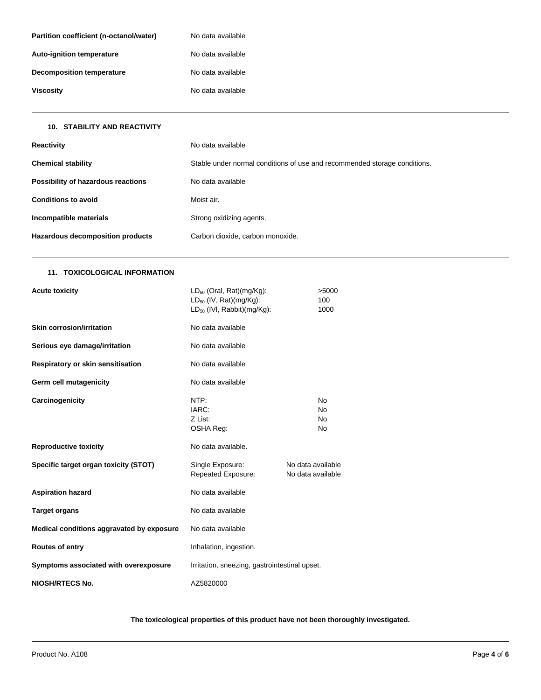| Partition coefficient (n-octanol/water) | No data available |
|-----------------------------------------|-------------------|
| <b>Auto-ignition temperature</b>        | No data available |
| Decomposition temperature               | No data available |
| Viscosity                               | No data available |

| <b>Reactivity</b>                  | No data available                                                         |
|------------------------------------|---------------------------------------------------------------------------|
| <b>Chemical stability</b>          | Stable under normal conditions of use and recommended storage conditions. |
| Possibility of hazardous reactions | No data available                                                         |
| <b>Conditions to avoid</b>         | Moist air.                                                                |
| Incompatible materials             | Strong oxidizing agents.                                                  |
| Hazardous decomposition products   | Carbon dioxide, carbon monoxide.                                          |

# **11. TOXICOLOGICAL INFORMATION**

**10. STABILITY AND REACTIVITY**

| <b>Acute toxicity</b>                     | $LD_{50}$ (Oral, Rat)(mg/Kg):<br>$LD_{50}$ (IV, Rat)(mg/Kg):<br>$LD_{50}$ (IVI, Rabbit) (mg/Kg): | >5000<br>100<br>1000                                |  |
|-------------------------------------------|--------------------------------------------------------------------------------------------------|-----------------------------------------------------|--|
| <b>Skin corrosion/irritation</b>          | No data available                                                                                |                                                     |  |
| Serious eye damage/irritation             | No data available                                                                                |                                                     |  |
| Respiratory or skin sensitisation         | No data available                                                                                |                                                     |  |
| Germ cell mutagenicity                    | No data available                                                                                |                                                     |  |
| Carcinogenicity                           | NTP:<br>IARC:<br>Z List:<br>OSHA Reg:                                                            | N <sub>o</sub><br><b>No</b><br>N <sub>o</sub><br>No |  |
| <b>Reproductive toxicity</b>              | No data available.                                                                               |                                                     |  |
| Specific target organ toxicity (STOT)     | Single Exposure:<br>Repeated Exposure:                                                           | No data available<br>No data available              |  |
| <b>Aspiration hazard</b>                  | No data available                                                                                |                                                     |  |
| <b>Target organs</b>                      | No data available                                                                                |                                                     |  |
| Medical conditions aggravated by exposure | No data available                                                                                |                                                     |  |
| <b>Routes of entry</b>                    | Inhalation, ingestion.                                                                           |                                                     |  |
| Symptoms associated with overexposure     | Irritation, sneezing, gastrointestinal upset.                                                    |                                                     |  |
| <b>NIOSH/RTECS No.</b>                    | AZ5820000                                                                                        |                                                     |  |

**The toxicological properties of this product have not been thoroughly investigated.**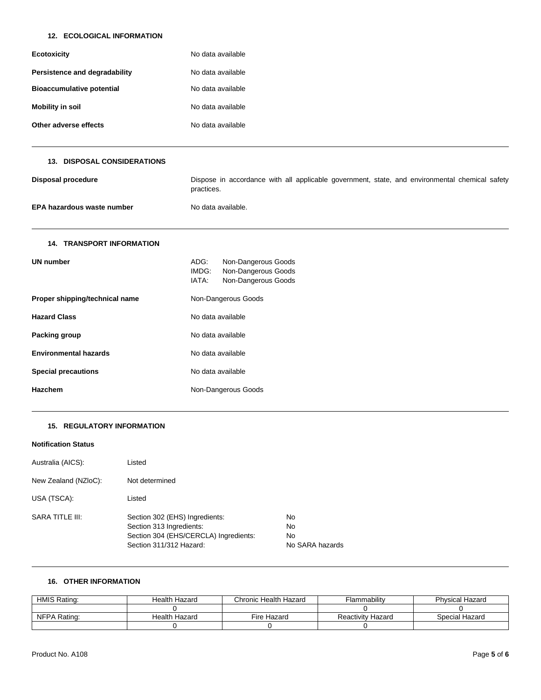## **12. ECOLOGICAL INFORMATION**

| Ecotoxicity                      | No data available |
|----------------------------------|-------------------|
| Persistence and degradability    | No data available |
| <b>Bioaccumulative potential</b> | No data available |
| <b>Mobility in soil</b>          | No data available |
| Other adverse effects            | No data available |

## **13. DISPOSAL CONSIDERATIONS**

| Disposal procedure         | Dispose in accordance with all applicable government, state, and environmental chemical safety<br>practices. |
|----------------------------|--------------------------------------------------------------------------------------------------------------|
| EPA hazardous waste number | No data available.                                                                                           |

# **14. TRANSPORT INFORMATION**

| UN number                      | ADG:<br>IMDG:<br>IATA: | Non-Dangerous Goods<br>Non-Dangerous Goods<br>Non-Dangerous Goods |
|--------------------------------|------------------------|-------------------------------------------------------------------|
| Proper shipping/technical name |                        | Non-Dangerous Goods                                               |
| <b>Hazard Class</b>            | No data available      |                                                                   |
| Packing group                  | No data available      |                                                                   |
| <b>Environmental hazards</b>   | No data available      |                                                                   |
| <b>Special precautions</b>     | No data available      |                                                                   |
| <b>Hazchem</b>                 |                        | Non-Dangerous Goods                                               |

## **15. REGULATORY INFORMATION**

| <b>Notification Status</b> |                                                                                                                                |                                   |
|----------------------------|--------------------------------------------------------------------------------------------------------------------------------|-----------------------------------|
| Australia (AICS):          | Listed                                                                                                                         |                                   |
| New Zealand (NZIoC):       | Not determined                                                                                                                 |                                   |
| USA (TSCA):                | Listed                                                                                                                         |                                   |
| SARA TITLE III:            | Section 302 (EHS) Ingredients:<br>Section 313 Ingredients:<br>Section 304 (EHS/CERCLA) Ingredients:<br>Section 311/312 Hazard: | No<br>No<br>No<br>No SARA hazards |

### **16. OTHER INFORMATION**

| HMIS Rating: | Health Hazard | Chronic Health Hazard | Flammability             | <b>Physical Hazard</b> |
|--------------|---------------|-----------------------|--------------------------|------------------------|
|              |               |                       |                          |                        |
| NFPA Rating: | Health Hazard | Fire Hazard           | <b>Reactivity Hazard</b> | Special Hazard         |
|              |               |                       |                          |                        |